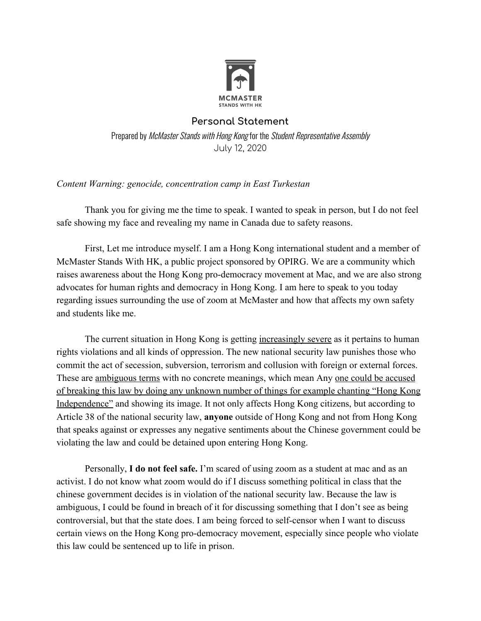

## **Personal Statement**

Prepared by McMaster Stands with Hong Kong for the Student Representative Assembly July 12, 2020

## *Content Warning: genocide, concentration camp in East Turkestan*

Thank you for giving me the time to speak. I wanted to speak in person, but I do not feel safe showing my face and revealing my name in Canada due to safety reasons.

First, Let me introduce myself. I am a Hong Kong international student and a member of McMaster Stands With HK, a public project sponsored by OPIRG. We are a community which raises awareness about the Hong Kong pro-democracy movement at Mac, and we are also strong advocates for human rights and democracy in Hong Kong. I am here to speak to you today regarding issues surrounding the use of zoom at McMaster and how that affects my own safety and students like me.

The current situation in Hong Kong is getting increasingly severe as it pertains to human rights violations and all kinds of oppression. The new national security law punishes those who commit the act of secession, subversion, terrorism and collusion with foreign or external forces. These are <u>ambiguous terms</u> with no concrete meanings, which mean Any <u>one could be accused</u> of breaking this law by doing any unknown number of things for example chanting "Hong Kong Independence" and showing its image. It not only affects Hong Kong citizens, but according to Article 38 of the national security law, **anyone** outside of Hong Kong and not from Hong Kong that speaks against or expresses any negative sentiments about the Chinese government could be violating the law and could be detained upon entering Hong Kong.

Personally, **I do not feel safe.** I'm scared of using zoom as a student at mac and as an activist. I do not know what zoom would do if I discuss something political in class that the chinese government decides is in violation of the national security law. Because the law is ambiguous, I could be found in breach of it for discussing something that I don't see as being controversial, but that the state does. I am being forced to self-censor when I want to discuss certain views on the Hong Kong pro-democracy movement, especially since people who violate this law could be sentenced up to life in prison.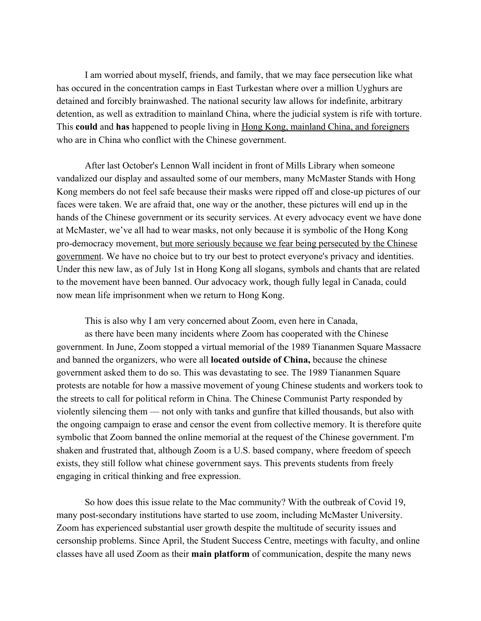I am worried about myself, friends, and family, that we may face persecution like what has occured in the concentration camps in East Turkestan where over a million Uyghurs are detained and forcibly brainwashed. The national security law allows for indefinite, arbitrary detention, as well as extradition to mainland China, where the judicial system is rife with torture. This **could** and **has** happened to people living in Hong Kong, mainland China, and foreigners who are in China who conflict with the Chinese government.

After last October's Lennon Wall incident in front of Mills Library when someone vandalized our display and assaulted some of our members, many McMaster Stands with Hong Kong members do not feel safe because their masks were ripped off and close-up pictures of our faces were taken. We are afraid that, one way or the another, these pictures will end up in the hands of the Chinese government or its security services. At every advocacy event we have done at McMaster, we've all had to wear masks, not only because it is symbolic of the Hong Kong pro-democracy movement, but more seriously because we fear being persecuted by the Chinese government. We have no choice but to try our best to protect everyone's privacy and identities. Under this new law, as of July 1st in Hong Kong all slogans, symbols and chants that are related to the movement have been banned. Our advocacy work, though fully legal in Canada, could now mean life imprisonment when we return to Hong Kong.

This is also why I am very concerned about Zoom, even here in Canada, as there have been many incidents where Zoom has cooperated with the Chinese government. In June, Zoom stopped a virtual memorial of the 1989 Tiananmen Square Massacre and banned the organizers, who were all **located outside of China,** because the chinese government asked them to do so. This was devastating to see. The 1989 Tiananmen Square protests are notable for how a massive movement of young Chinese students and workers took to the streets to call for political reform in China. The Chinese Communist Party responded by violently silencing them — not only with tanks and gunfire that killed thousands, but also with the ongoing campaign to erase and censor the event from collective memory. It is therefore quite symbolic that Zoom banned the online memorial at the request of the Chinese government. I'm shaken and frustrated that, although Zoom is a U.S. based company, where freedom of speech exists, they still follow what chinese government says. This prevents students from freely engaging in critical thinking and free expression.

So how does this issue relate to the Mac community? With the outbreak of Covid 19, many post-secondary institutions have started to use zoom, including McMaster University. Zoom has experienced substantial user growth despite the multitude of security issues and cersonship problems. Since April, the Student Success Centre, meetings with faculty, and online classes have all used Zoom as their **main platform** of communication, despite the many news